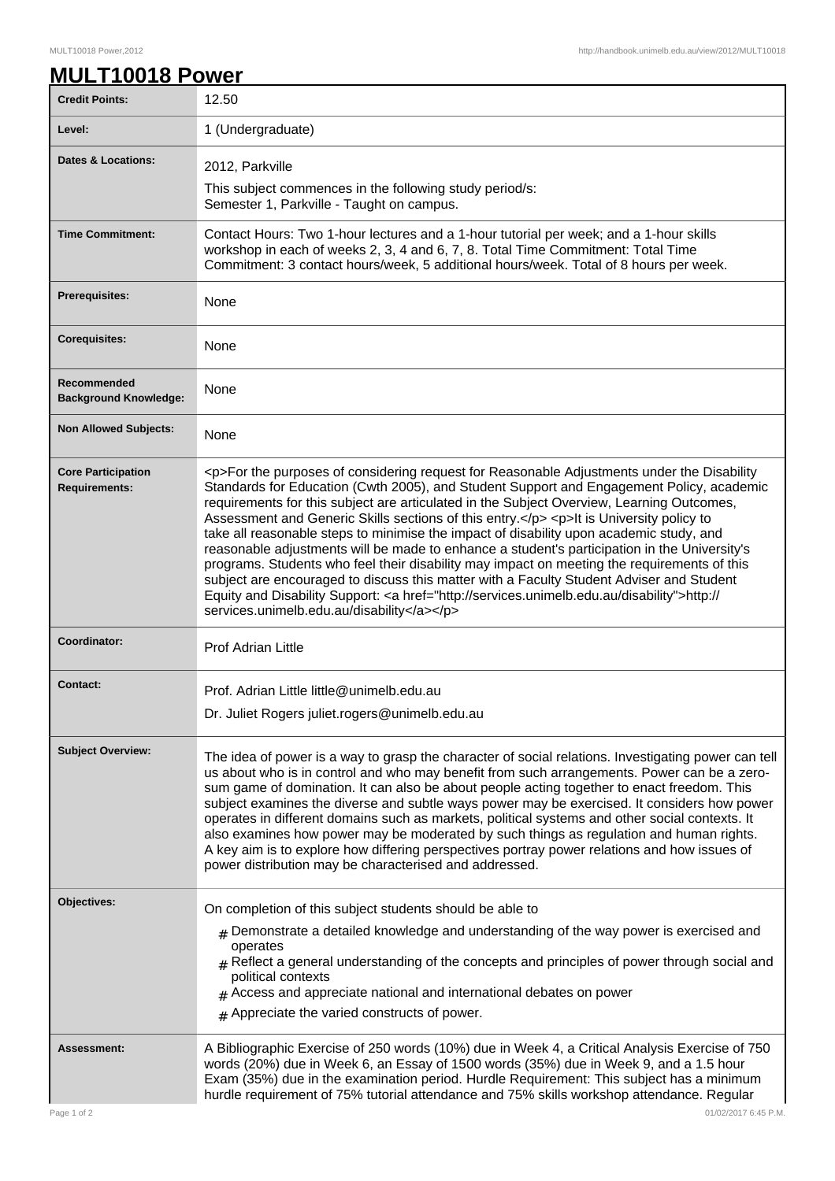1

## **MULT10018 Power**

| <b>Credit Points:</b>                             | 12.50                                                                                                                                                                                                                                                                                                                                                                                                                                                                                                                                                                                                                                                                                                                                                                                                                                                                                                                        |
|---------------------------------------------------|------------------------------------------------------------------------------------------------------------------------------------------------------------------------------------------------------------------------------------------------------------------------------------------------------------------------------------------------------------------------------------------------------------------------------------------------------------------------------------------------------------------------------------------------------------------------------------------------------------------------------------------------------------------------------------------------------------------------------------------------------------------------------------------------------------------------------------------------------------------------------------------------------------------------------|
| Level:                                            | 1 (Undergraduate)                                                                                                                                                                                                                                                                                                                                                                                                                                                                                                                                                                                                                                                                                                                                                                                                                                                                                                            |
| Dates & Locations:                                | 2012, Parkville                                                                                                                                                                                                                                                                                                                                                                                                                                                                                                                                                                                                                                                                                                                                                                                                                                                                                                              |
|                                                   | This subject commences in the following study period/s:                                                                                                                                                                                                                                                                                                                                                                                                                                                                                                                                                                                                                                                                                                                                                                                                                                                                      |
|                                                   | Semester 1, Parkville - Taught on campus.                                                                                                                                                                                                                                                                                                                                                                                                                                                                                                                                                                                                                                                                                                                                                                                                                                                                                    |
| <b>Time Commitment:</b>                           | Contact Hours: Two 1-hour lectures and a 1-hour tutorial per week; and a 1-hour skills<br>workshop in each of weeks 2, 3, 4 and 6, 7, 8. Total Time Commitment: Total Time<br>Commitment: 3 contact hours/week, 5 additional hours/week. Total of 8 hours per week.                                                                                                                                                                                                                                                                                                                                                                                                                                                                                                                                                                                                                                                          |
| <b>Prerequisites:</b>                             | None                                                                                                                                                                                                                                                                                                                                                                                                                                                                                                                                                                                                                                                                                                                                                                                                                                                                                                                         |
| <b>Corequisites:</b>                              | None                                                                                                                                                                                                                                                                                                                                                                                                                                                                                                                                                                                                                                                                                                                                                                                                                                                                                                                         |
| Recommended<br><b>Background Knowledge:</b>       | None                                                                                                                                                                                                                                                                                                                                                                                                                                                                                                                                                                                                                                                                                                                                                                                                                                                                                                                         |
| <b>Non Allowed Subjects:</b>                      | None                                                                                                                                                                                                                                                                                                                                                                                                                                                                                                                                                                                                                                                                                                                                                                                                                                                                                                                         |
| <b>Core Participation</b><br><b>Requirements:</b> | <p>For the purposes of considering request for Reasonable Adjustments under the Disability<br/>Standards for Education (Cwth 2005), and Student Support and Engagement Policy, academic<br/>requirements for this subject are articulated in the Subject Overview, Learning Outcomes,<br/>Assessment and Generic Skills sections of this entry.</p> <p>It is University policy to<br/>take all reasonable steps to minimise the impact of disability upon academic study, and<br/>reasonable adjustments will be made to enhance a student's participation in the University's<br/>programs. Students who feel their disability may impact on meeting the requirements of this<br/>subject are encouraged to discuss this matter with a Faculty Student Adviser and Student<br/>Equity and Disability Support: &lt; a href="http://services.unimelb.edu.au/disability"&gt;http://<br/>services.unimelb.edu.au/disability</p> |
| Coordinator:                                      | <b>Prof Adrian Little</b>                                                                                                                                                                                                                                                                                                                                                                                                                                                                                                                                                                                                                                                                                                                                                                                                                                                                                                    |
| <b>Contact:</b>                                   | Prof. Adrian Little little@unimelb.edu.au                                                                                                                                                                                                                                                                                                                                                                                                                                                                                                                                                                                                                                                                                                                                                                                                                                                                                    |
|                                                   | Dr. Juliet Rogers juliet.rogers@unimelb.edu.au                                                                                                                                                                                                                                                                                                                                                                                                                                                                                                                                                                                                                                                                                                                                                                                                                                                                               |
| <b>Subject Overview:</b>                          | The idea of power is a way to grasp the character of social relations. Investigating power can tell<br>us about who is in control and who may benefit from such arrangements. Power can be a zero-<br>sum game of domination. It can also be about people acting together to enact freedom. This<br>subject examines the diverse and subtle ways power may be exercised. It considers how power<br>operates in different domains such as markets, political systems and other social contexts. It<br>also examines how power may be moderated by such things as regulation and human rights.<br>A key aim is to explore how differing perspectives portray power relations and how issues of<br>power distribution may be characterised and addressed.                                                                                                                                                                       |
| Objectives:                                       | On completion of this subject students should be able to                                                                                                                                                                                                                                                                                                                                                                                                                                                                                                                                                                                                                                                                                                                                                                                                                                                                     |
|                                                   | $_{\rm #}$ Demonstrate a detailed knowledge and understanding of the way power is exercised and<br>operates<br>$#$ Reflect a general understanding of the concepts and principles of power through social and<br>political contexts<br>$#$ Access and appreciate national and international debates on power<br>$#$ Appreciate the varied constructs of power.                                                                                                                                                                                                                                                                                                                                                                                                                                                                                                                                                               |
| <b>Assessment:</b>                                | A Bibliographic Exercise of 250 words (10%) due in Week 4, a Critical Analysis Exercise of 750<br>words (20%) due in Week 6, an Essay of 1500 words (35%) due in Week 9, and a 1.5 hour<br>Exam (35%) due in the examination period. Hurdle Requirement: This subject has a minimum<br>hurdle requirement of 75% tutorial attendance and 75% skills workshop attendance. Regular                                                                                                                                                                                                                                                                                                                                                                                                                                                                                                                                             |